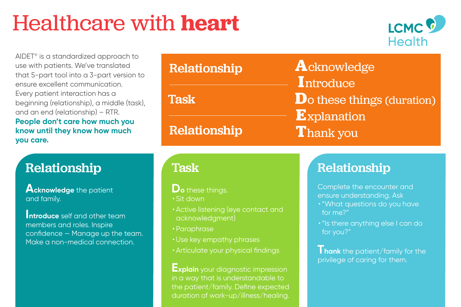# Healthcare with **heart**



AIDET® is a standardized approach to use with patients. We've translated that 5-part tool into a 3-part version to ensure excellent communication. Every patient interaction has a beginning (relationship), a middle (task), and an end (relationship) – RTR. **People don't care how much you know until they know how much you care.**

## Relationship **Relationship** Relationship

**Acknowledge** the patient and family.

**Introduce** self and other team members and roles. Inspire confidence — Manage up the team. Make a non-medical connection.

| Relationship        | Acknowledge<br>Introduce   |
|---------------------|----------------------------|
| Task                | Do these things (duration) |
| <b>Relationship</b> | Explanation<br>Thank you   |

Task

**Do** these things. • Sit down

- Active listening (eye contact and acknowledgment)
- Paraphrase
- Use key empathy phrases
- Articulate your physical findings

**Explain** your diagnostic impression in a way that is understandable to the patient/family. Define expected duration of work-up/illness/healing.

Complete the encounter and ensure understanding. Ask

- "What questions do you have for me?"
- "Is there anything else I can do for you?"

**Thank** the patient/family for the privilege of caring for them.